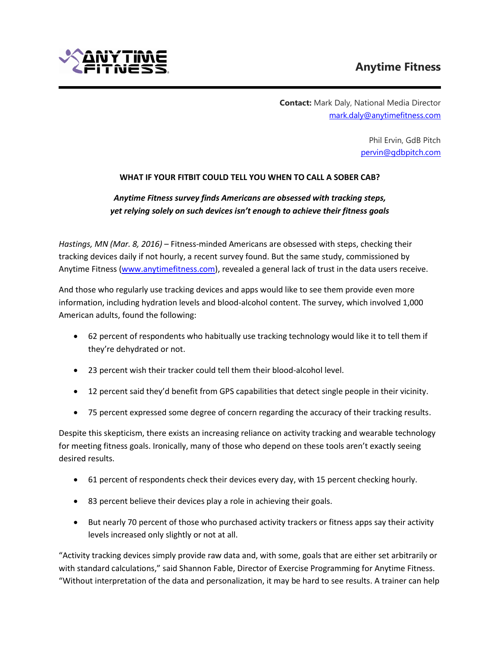

 **Contact:** Mark Daly, National Media Director [mark.daly@anytimefitness.com](mailto:mark.daly@anytimefitness.com)

> Phil Ervin, GdB Pitch [pervin@gdbpitch.com](mailto:pervin@gdbpitch.com)

## **WHAT IF YOUR FITBIT COULD TELL YOU WHEN TO CALL A SOBER CAB?**

# *Anytime Fitness survey finds Americans are obsessed with tracking steps, yet relying solely on such devices isn't enough to achieve their fitness goals*

*Hastings, MN (Mar. 8, 2016)* – Fitness-minded Americans are obsessed with steps, checking their tracking devices daily if not hourly, a recent survey found. But the same study, commissioned by Anytime Fitness [\(www.anytimefitness.com\)](http://www.anytimefitness.com/), revealed a general lack of trust in the data users receive.

And those who regularly use tracking devices and apps would like to see them provide even more information, including hydration levels and blood-alcohol content. The survey, which involved 1,000 American adults, found the following:

- 62 percent of respondents who habitually use tracking technology would like it to tell them if they're dehydrated or not.
- 23 percent wish their tracker could tell them their blood-alcohol level.
- 12 percent said they'd benefit from GPS capabilities that detect single people in their vicinity.
- 75 percent expressed some degree of concern regarding the accuracy of their tracking results.

Despite this skepticism, there exists an increasing reliance on activity tracking and wearable technology for meeting fitness goals. Ironically, many of those who depend on these tools aren't exactly seeing desired results.

- 61 percent of respondents check their devices every day, with 15 percent checking hourly.
- 83 percent believe their devices play a role in achieving their goals.
- But nearly 70 percent of those who purchased activity trackers or fitness apps say their activity levels increased only slightly or not at all.

"Activity tracking devices simply provide raw data and, with some, goals that are either set arbitrarily or with standard calculations," said Shannon Fable, Director of Exercise Programming for Anytime Fitness. "Without interpretation of the data and personalization, it may be hard to see results. A trainer can help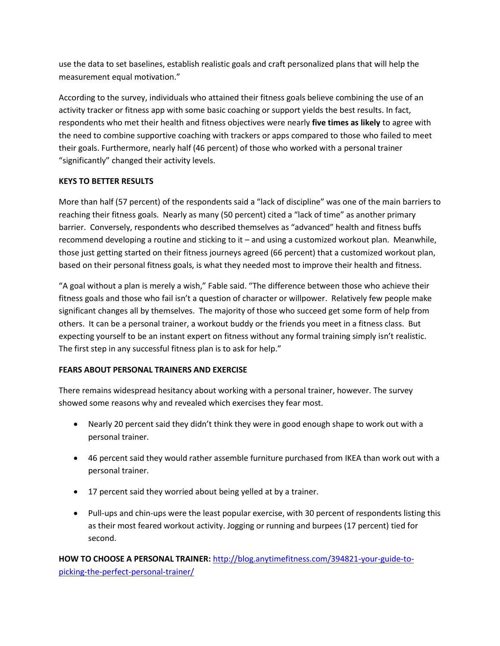use the data to set baselines, establish realistic goals and craft personalized plans that will help the measurement equal motivation."

According to the survey, individuals who attained their fitness goals believe combining the use of an activity tracker or fitness app with some basic coaching or support yields the best results. In fact, respondents who met their health and fitness objectives were nearly **five times as likely** to agree with the need to combine supportive coaching with trackers or apps compared to those who failed to meet their goals. Furthermore, nearly half (46 percent) of those who worked with a personal trainer "significantly" changed their activity levels.

## **KEYS TO BETTER RESULTS**

More than half (57 percent) of the respondents said a "lack of discipline" was one of the main barriers to reaching their fitness goals. Nearly as many (50 percent) cited a "lack of time" as another primary barrier. Conversely, respondents who described themselves as "advanced" health and fitness buffs recommend developing a routine and sticking to it – and using a customized workout plan. Meanwhile, those just getting started on their fitness journeys agreed (66 percent) that a customized workout plan, based on their personal fitness goals, is what they needed most to improve their health and fitness.

"A goal without a plan is merely a wish," Fable said. "The difference between those who achieve their fitness goals and those who fail isn't a question of character or willpower. Relatively few people make significant changes all by themselves. The majority of those who succeed get some form of help from others. It can be a personal trainer, a workout buddy or the friends you meet in a fitness class. But expecting yourself to be an instant expert on fitness without any formal training simply isn't realistic. The first step in any successful fitness plan is to ask for help."

## **FEARS ABOUT PERSONAL TRAINERS AND EXERCISE**

There remains widespread hesitancy about working with a personal trainer, however. The survey showed some reasons why and revealed which exercises they fear most.

- Nearly 20 percent said they didn't think they were in good enough shape to work out with a personal trainer.
- 46 percent said they would rather assemble furniture purchased from IKEA than work out with a personal trainer.
- 17 percent said they worried about being yelled at by a trainer.
- Pull-ups and chin-ups were the least popular exercise, with 30 percent of respondents listing this as their most feared workout activity. Jogging or running and burpees (17 percent) tied for second.

**HOW TO CHOOSE A PERSONAL TRAINER:** [http://blog.anytimefitness.com/394821-your-guide-to](http://blog.anytimefitness.com/394821-your-guide-to-picking-the-perfect-personal-trainer/)[picking-the-perfect-personal-trainer/](http://blog.anytimefitness.com/394821-your-guide-to-picking-the-perfect-personal-trainer/)